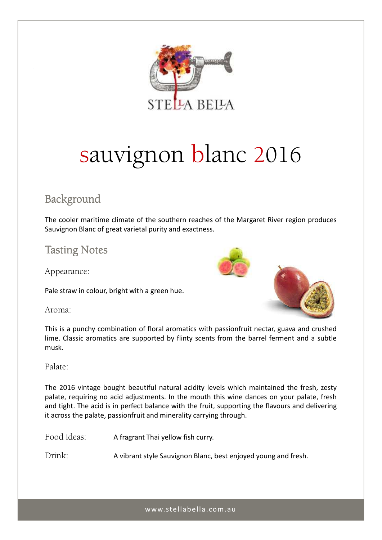

# sauvignon blanc 2016

## Background

The cooler maritime climate of the southern reaches of the Margaret River region produces Sauvignon Blanc of great varietal purity and exactness.

## **Tasting Notes**

Appearance:

Pale straw in colour, bright with a green hue.



Aroma:

This is a punchy combination of floral aromatics with passionfruit nectar, guava and crushed lime. Classic aromatics are supported by flinty scents from the barrel ferment and a subtle musk.

### Palate:

The 2016 vintage bought beautiful natural acidity levels which maintained the fresh, zesty palate, requiring no acid adjustments. In the mouth this wine dances on your palate, fresh and tight. The acid is in perfect balance with the fruit, supporting the flavours and delivering it across the palate, passionfruit and minerality carrying through.

Food ideas: A fragrant Thai yellow fish curry.

Drink: A vibrant style Sauvignon Blanc, best enjoyed young and fresh.